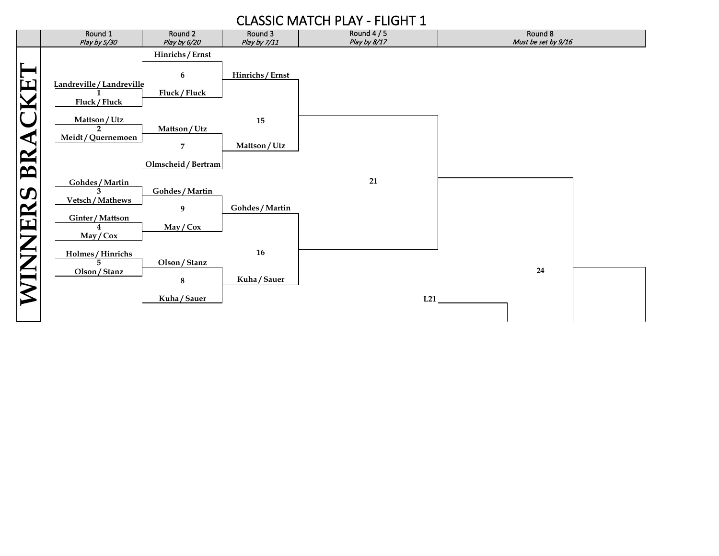